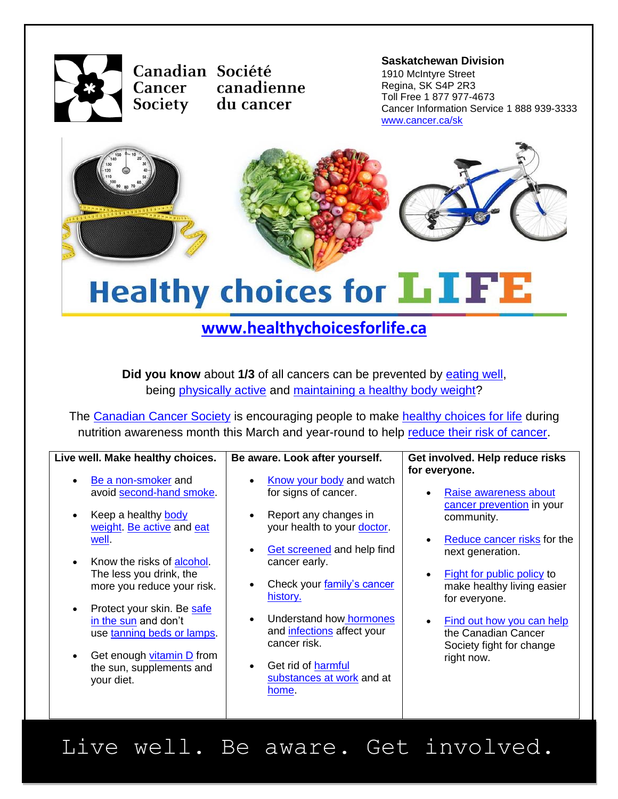

**Canadian Société**<br> **Canadian Société**<br> **Example 1910 Melatyre Street** canadienne **Cancer** Society du cancer

1910 McIntyre Street Regina, SK S4P 2R3 Toll Free 1 877 977-4673 Cancer Information Service 1 888 939-3333 [www.cancer.ca/sk](http://www.cancer.ca/sk)



# **Healthy choices for LIFE**

### **[www.healthychoicesforlife.ca](http://www.healthychoicesforlife.ca/)**

**Did you know** about 1/3 of all cancers can be prevented by **eating well**, being [physically active](http://www.cancer.ca/en/prevention-and-screening/live-well/nutrition-and-fitness/physical-activity/?region=sk) and [maintaining a healthy body weight?](http://www.cancer.ca/en/prevention-and-screening/live-well/nutrition-and-fitness/healthy-body-weight/?region=sk)

The [Canadian Cancer Society](http://www.cancer.ca/en/?region=sk) is encouraging people to make [healthy choices for life](http://www.healthychoicesforlife.ca/) during nutrition awareness month this March and year-round to help [reduce their risk of cancer.](http://www.cancer.ca/en/cancer-information/cancer-101/how-to-reduce-cancer-risk/?region=sk)

| Live well. Make healthy choices.                                                                                                                                                                                                                                                                                                                             | Be aware. Look after yourself.                                                                                                                                                                                                                                                                                                         | Get involved. Help reduce risks                                                                                                                                                                                                                                                                                                                         |
|--------------------------------------------------------------------------------------------------------------------------------------------------------------------------------------------------------------------------------------------------------------------------------------------------------------------------------------------------------------|----------------------------------------------------------------------------------------------------------------------------------------------------------------------------------------------------------------------------------------------------------------------------------------------------------------------------------------|---------------------------------------------------------------------------------------------------------------------------------------------------------------------------------------------------------------------------------------------------------------------------------------------------------------------------------------------------------|
| Be a non-smoker and<br>avoid second-hand smoke.<br>Keep a healthy body<br>weight Be active and eat<br>well<br>Know the risks of alcohol.<br>The less you drink, the<br>more you reduce your risk.<br>Protect your skin. Be safe<br>in the sun and don't<br>use tanning beds or lamps.<br>Get enough vitamin D from<br>the sun, supplements and<br>your diet. | Know your body and watch<br>for signs of cancer.<br>Report any changes in<br>your health to your doctor.<br>Get screened and help find<br>cancer early.<br>Check your family's cancer<br>history.<br>Understand how hormones<br>and infections affect your<br>cancer risk.<br>Get rid of harmful<br>substances at work and at<br>home. | for everyone.<br>Raise awareness about<br>cancer prevention in your<br>community.<br>Reduce cancer risks for the<br>$\bullet$<br>next generation.<br><b>Fight for public policy to</b><br>$\bullet$<br>make healthy living easier<br>for everyone.<br><b>Find out how you can help</b><br>the Canadian Cancer<br>Society fight for change<br>right now. |
|                                                                                                                                                                                                                                                                                                                                                              |                                                                                                                                                                                                                                                                                                                                        |                                                                                                                                                                                                                                                                                                                                                         |

## Live well. Be aware. Get involved.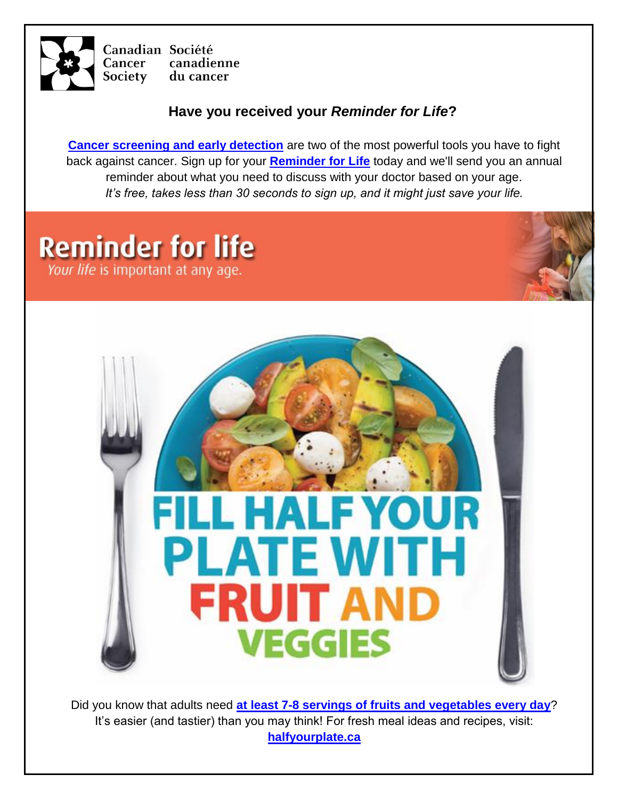

Canadian Société **Cancer** canadienne du cancer Society

#### **Have you received your** *Reminder for Life***?**

**[Cancer screening and early detection](http://www.cancer.ca/en/prevention-and-screening/early-detection-and-screening/finding-cancer-early/?region=sk)** are two of the most powerful tools you have to fight back against cancer. Sign up for your **[Reminder for Life](http://www.reminderforlife.ca/)** today and we'll send you an annual reminder about what you need to discuss with your doctor based on your age. *It's free, takes less than 30 seconds to sign up, and it might just save your life.*

## **Reminder for life**

Your life is important at any age.



Did you know that adults need **[at least 7-8 servings of fruits and vegetables every day](http://www.halfyourplate.ca/fruits-and-veggies/what-is-a-serving/)**? It's easier (and tastier) than you may think! For fresh meal ideas and recipes, visit: **[halfyourplate.ca](http://www.halfyourplate.ca/)**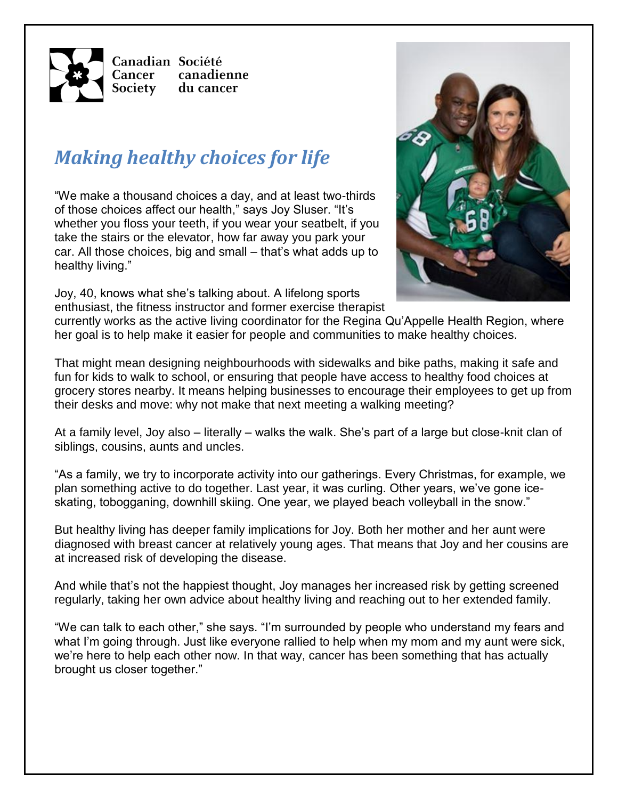

## *Making healthy choices for life*

"We make a thousand choices a day, and at least two-thirds of those choices affect our health," says Joy Sluser. "It's whether you floss your teeth, if you wear your seatbelt, if you take the stairs or the elevator, how far away you park your car. All those choices, big and small – that's what adds up to healthy living."

Joy, 40, knows what she's talking about. A lifelong sports enthusiast, the fitness instructor and former exercise therapist



currently works as the active living coordinator for the Regina Qu'Appelle Health Region, where her goal is to help make it easier for people and communities to make healthy choices.

That might mean designing neighbourhoods with sidewalks and bike paths, making it safe and fun for kids to walk to school, or ensuring that people have access to healthy food choices at grocery stores nearby. It means helping businesses to encourage their employees to get up from their desks and move: why not make that next meeting a walking meeting?

At a family level, Joy also – literally – walks the walk. She's part of a large but close-knit clan of siblings, cousins, aunts and uncles.

"As a family, we try to incorporate activity into our gatherings. Every Christmas, for example, we plan something active to do together. Last year, it was curling. Other years, we've gone iceskating, tobogganing, downhill skiing. One year, we played beach volleyball in the snow."

But healthy living has deeper family implications for Joy. Both her mother and her aunt were diagnosed with breast cancer at relatively young ages. That means that Joy and her cousins are at increased risk of developing the disease.

And while that's not the happiest thought, Joy manages her increased risk by getting screened regularly, taking her own advice about healthy living and reaching out to her extended family.

"We can talk to each other," she says. "I'm surrounded by people who understand my fears and what I'm going through. Just like everyone rallied to help when my mom and my aunt were sick, we're here to help each other now. In that way, cancer has been something that has actually brought us closer together."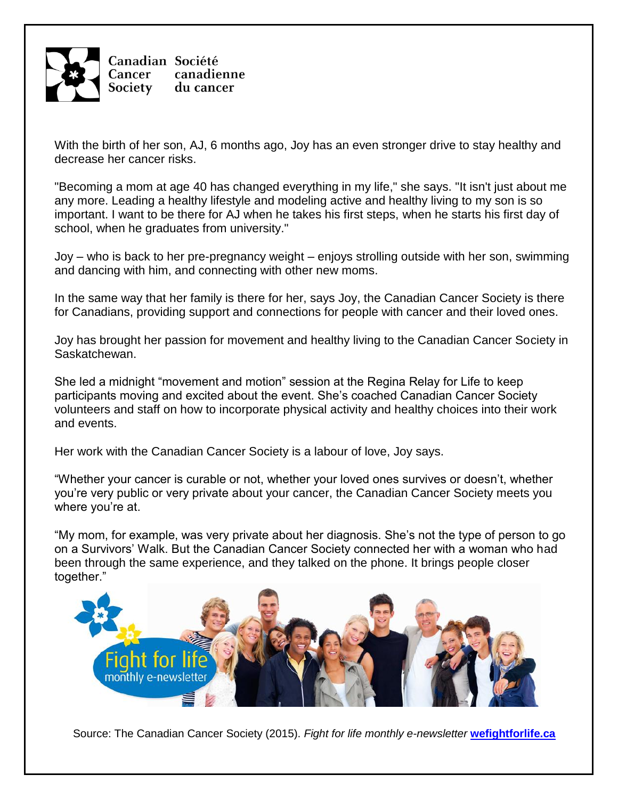

With the birth of her son, AJ, 6 months ago, Joy has an even stronger drive to stay healthy and decrease her cancer risks.

"Becoming a mom at age 40 has changed everything in my life," she says. "It isn't just about me any more. Leading a healthy lifestyle and modeling active and healthy living to my son is so important. I want to be there for AJ when he takes his first steps, when he starts his first day of school, when he graduates from university."

Joy – who is back to her pre-pregnancy weight – enjoys strolling outside with her son, swimming and dancing with him, and connecting with other new moms.

In the same way that her family is there for her, says Joy, the Canadian Cancer Society is there for Canadians, providing support and connections for people with cancer and their loved ones.

Joy has brought her passion for movement and healthy living to the Canadian Cancer Society in Saskatchewan.

She led a midnight "movement and motion" session at the Regina Relay for Life to keep participants moving and excited about the event. She's coached Canadian Cancer Society volunteers and staff on how to incorporate physical activity and healthy choices into their work and events.

Her work with the Canadian Cancer Society is a labour of love, Joy says.

"Whether your cancer is curable or not, whether your loved ones survives or doesn't, whether you're very public or very private about your cancer, the Canadian Cancer Society meets you where you're at.

"My mom, for example, was very private about her diagnosis. She's not the type of person to go on a Survivors' Walk. But the Canadian Cancer Society connected her with a woman who had been through the same experience, and they talked on the phone. It brings people closer to[gether."](http://www.wefightforlife.ca) 



Source: The Canadian Cancer Society (2015). *Fight for life monthly e-newsletter* **[wefightforlife.ca](http://www.wefightforlife.ca/)**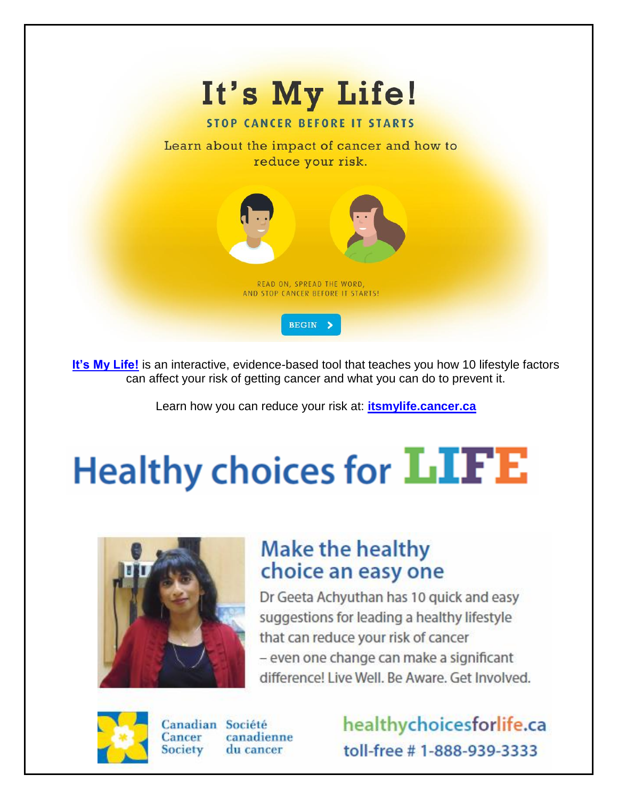

[It's My Life!](http://itsmylife.cancer.ca/) is an interactive, evidence-based tool that teaches you how 10 lifestyle factors can affect your risk of getting cancer and what you can do to prevent it.

Learn how you can reduce your risk at: **[itsmylife.cancer.ca](http://itsmylife.cancer.ca/)**

# **Healthy choices for LIFE**



## **Make the healthy** choice an easy one

Dr Geeta Achyuthan has 10 quick and easy suggestions for leading a healthy lifestyle that can reduce your risk of cancer - even one change can make a significant difference! Live Well, Be Aware, Get Involved.



Canadian Société Cancer canadienne Society du cancer

healthychoicesforlife.ca toll-free #1-888-939-3333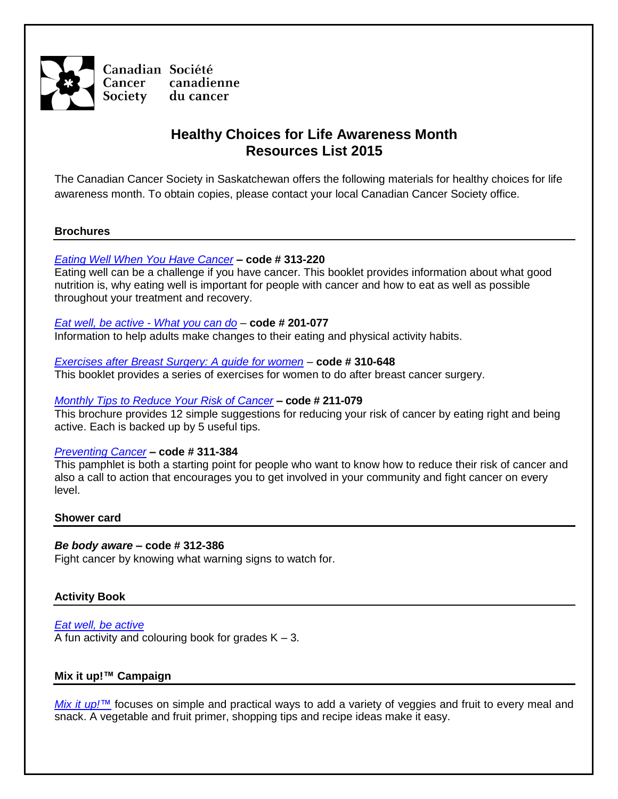

#### **Healthy Choices for Life Awareness Month Resources List 2015**

The Canadian Cancer Society in Saskatchewan offers the following materials for healthy choices for life awareness month. To obtain copies, please contact your local Canadian Cancer Society office.

#### **Brochures**

#### *[Eating Well When You Have Cancer](http://www.cancer.ca/~/media/cancer.ca/CW/publications/Eating%20well%20when%20you%20have%20cancer/Eating-well-when-you-have-cancer-2014-EN.pdf)* **– code # 313-220**

Eating well can be a challenge if you have cancer. This booklet provides information about what good nutrition is, why eating well is important for people with cancer and how to eat as well as possible throughout your treatment and recovery.

#### *[Eat well, be active -](http://www.bccancer.bc.ca/NR/rdonlyres/75D25772-8F87-4C8C-9BA2-8600AB07591C/56470/EWBAEnglish.pdf) What you can do –* **code # 201-077**

Information to help adults make changes to their eating and physical activity habits.

#### *[Exercises after Breast Surgery: A guide for women](http://cancer.ca/~/media/CCS/Canada%20wide/Files%20List/English%20files%20heading/Library%20PDFs%20-%20English/Exercises-after-breast-surgery_Eng2012.ashx) –* **code # 310-648**

This booklet provides a series of exercises for women to do after breast cancer surgery.

#### *[Monthly Tips to Reduce Your Risk of Cancer](http://www.cancer.ca/~/media/cancer.ca/CW/publications/Monthly%20tips%20to%20reduce%20your%20risk%20of%20cancer/Monthly-Tips-to-Reduce-Your-Risk-of-Cancer_Eng2013.pdf)* **– code # 211-079**

This brochure provides 12 simple suggestions for reducing your risk of cancer by eating right and being active. Each is backed up by 5 useful tips.

#### *[Preventing Cancer](http://www.cancer.ca/~/media/cancer.ca/CW/publications/Preventing%20cancer/Preventing-cancer-2010-EN.pdf)* **– code # 311-384**

This pamphlet is both a starting point for people who want to know how to reduce their risk of cancer and also a call to action that encourages you to get involved in your community and fight cancer on every level.

#### **Shower card**

#### *Be body aware* **– code # 312-386**

Fight cancer by knowing what warning signs to watch for.

#### **Activity Book**

*[Eat well, be active](http://ccssk.convio.net/site/DocServer/Eat_Well_Be_Active_activity_book.pdf?docID=1341&autologin=true)* A fun activity and colouring book for grades  $K - 3$ .

#### **Mix it up!™ Campaign**

*[Mix it up!](http://www.fruitsandveggies.ca/)*™ focuses on simple and practical ways to add a variety of veggies and fruit to every meal and snack. A vegetable and fruit primer, shopping tips and recipe ideas make it easy.